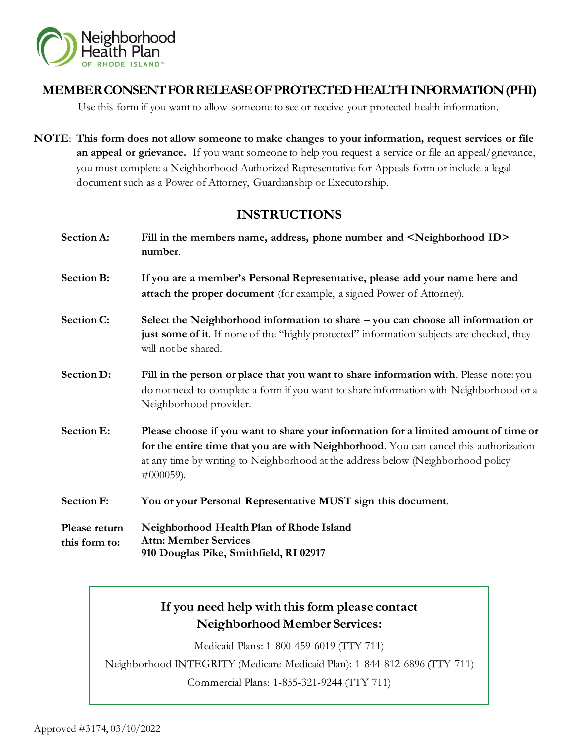

# **MEMBER CONSENT FOR RELEASE OF PROTECTED HEALTH INFORMATION (PHI)**

Use this form if you want to allow someone to see or receive your protected health information.

**NOTE**: **This form does not allow someone to make changes to your information, request services or file an appeal or grievance.** If you want someone to help you request a service or file an appeal/grievance, you must complete a Neighborhood Authorized Representative for Appeals form or include a legal document such as a Power of Attorney, Guardianship or Executorship.

# **INSTRUCTIONS**

**Section A: Fill in the members name, address, phone number and <Neighborhood ID> number**. **Section B: If you are a member's Personal Representative, please add your name here and attach the proper document** (for example, a signed Power of Attorney). **Section C: Select the Neighborhood information to share – you can choose all information or**  just some of it. If none of the "highly protected" information subjects are checked, they will not be shared. **Section D:** Fill in the person or place that you want to share information with. Please note: you do not need to complete a form if you want to share information with Neighborhood or a Neighborhood provider. **Section E: Please choose if you want to share your information for a limited amount of time or for the entire time that you are with Neighborhood**. You can cancel this authorization at any time by writing to Neighborhood at the address below (Neighborhood policy #000059). **Section F: You or your Personal Representative MUST sign this document**.

**Please return this form to: Neighborhood Health Plan of Rhode Island Attn: Member Services 910 Douglas Pike, Smithfield, RI 02917**

# **If you need help with this form please contact Neighborhood Member Services:**

Medicaid Plans: 1-800-459-6019 (TTY 711)

Neighborhood INTEGRITY (Medicare-Medicaid Plan): 1-844-812-6896 (TTY 711)

Commercial Plans: 1-855-321-9244 (TTY 711)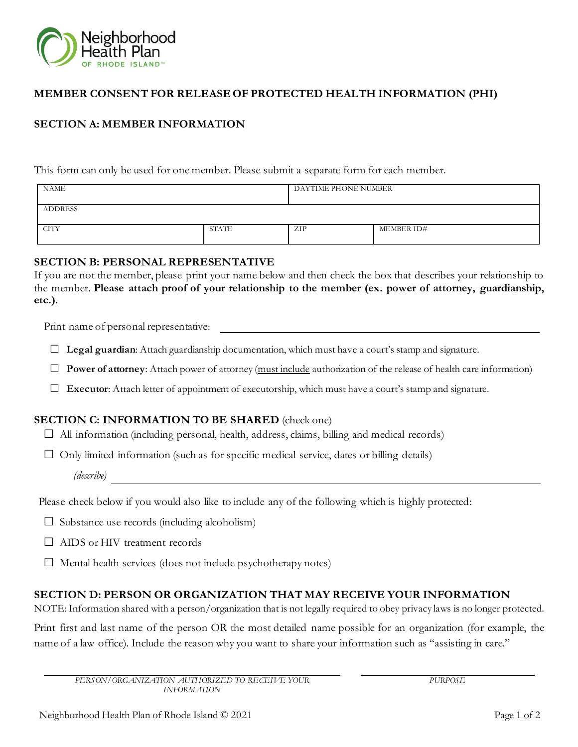

### **MEMBER CONSENT FOR RELEASE OF PROTECTED HEALTH INFORMATION (PHI)**

## **SECTION A: MEMBER INFORMATION**

This form can only be used for one member. Please submit a separate form for each member.

| <b>NAME</b>    |       | DAYTIME PHONE NUMBER |            |
|----------------|-------|----------------------|------------|
| <b>ADDRESS</b> |       |                      |            |
| <b>CITY</b>    | STATE | ZIP                  | MEMBER ID# |

#### **SECTION B: PERSONAL REPRESENTATIVE**

If you are not the member, please print your name below and then check the box that describes your relationship to the member. **Please attach proof of your relationship to the member (ex. power of attorney, guardianship, etc.).**

Print name of personal representative:

 $\Box$  **Legal guardian:** Attach guardianship documentation, which must have a court's stamp and signature.

**Power of attorney**: Attach power of attorney (must include authorization of the release of health care information)

**Executor**: Attach letter of appointment of executorship, which must have a court's stamp and signature.

## **SECTION C: INFORMATION TO BE SHARED** (check one)

 $\Box$  All information (including personal, health, address, claims, billing and medical records)

 $\Box$  Only limited information (such as for specific medical service, dates or billing details)

*(describe)*

Please check below if you would also like to include any of the following which is highly protected:

- $\Box$  Substance use records (including alcoholism)
- □ AIDS or HIV treatment records
- $\Box$  Mental health services (does not include psychotherapy notes)

#### **SECTION D: PERSON OR ORGANIZATION THAT MAY RECEIVE YOUR INFORMATION**

NOTE: Information shared with a person/organization that is not legally required to obey privacy laws is no longer protected.

Print first and last name of the person OR the most detailed name possible for an organization (for example, the name of a law office). Include the reason why you want to share your information such as "assisting in care."